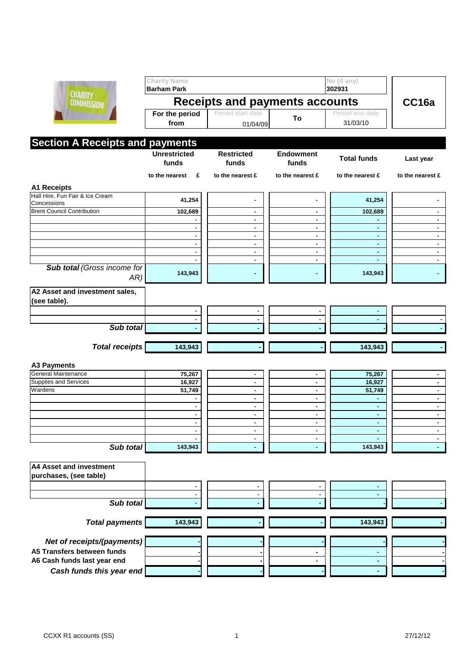

|                                                | <b>Charity Name</b><br><b>Barham Park</b> |                                  |                           | No (if any)<br>302931       |                                  |  |  |  |
|------------------------------------------------|-------------------------------------------|----------------------------------|---------------------------|-----------------------------|----------------------------------|--|--|--|
| <b>CHARITY</b><br><b>COMMISSION</b>            | <b>Receipts and payments accounts</b>     |                                  |                           |                             | CC <sub>16a</sub>                |  |  |  |
|                                                | For the period<br>from                    | Period start date<br>01/04/09    | To                        | Period end date<br>31/03/10 |                                  |  |  |  |
| <b>Section A Receipts and payments</b>         |                                           |                                  |                           |                             |                                  |  |  |  |
|                                                | <b>Unrestricted</b><br>funds              | <b>Restricted</b><br>funds       | <b>Endowment</b><br>funds | <b>Total funds</b>          | Last year                        |  |  |  |
|                                                | to the nearest<br>£                       | to the nearest £                 | to the nearest £          | to the nearest £            | to the nearest £                 |  |  |  |
| <b>A1 Receipts</b>                             |                                           |                                  |                           |                             |                                  |  |  |  |
| Hall Hire, Fun Fair & Ice Cream<br>Concessions | 41,254                                    | ٠                                | ۰                         | 41,254                      |                                  |  |  |  |
| <b>Brent Council Contribution</b>              | 102,689                                   | $\blacksquare$                   | $\blacksquare$            | 102,689                     |                                  |  |  |  |
|                                                |                                           | $\blacksquare$                   | ۰.                        |                             |                                  |  |  |  |
|                                                |                                           | $\blacksquare$                   | ۰.                        |                             | $\blacksquare$                   |  |  |  |
|                                                |                                           | $\blacksquare$                   | ۰                         |                             | ۰.                               |  |  |  |
|                                                |                                           | $\blacksquare$<br>$\blacksquare$ | ۰<br>۰.                   | $\sim$<br>٠                 | $\blacksquare$<br>$\blacksquare$ |  |  |  |
|                                                |                                           | $\blacksquare$                   | ٠                         |                             | $\blacksquare$                   |  |  |  |
| <b>Sub total (Gross income for</b><br>AR)      | 143,943                                   | ٠                                | ۰                         | 143,943                     |                                  |  |  |  |
| A2 Asset and investment sales,                 |                                           |                                  |                           |                             |                                  |  |  |  |
| (see table).                                   |                                           |                                  |                           |                             |                                  |  |  |  |
|                                                |                                           |                                  |                           |                             |                                  |  |  |  |
|                                                |                                           |                                  |                           |                             |                                  |  |  |  |
| Sub total                                      |                                           |                                  |                           |                             |                                  |  |  |  |
|                                                |                                           |                                  |                           |                             |                                  |  |  |  |
| <b>Total receipts</b>                          | 143,943                                   |                                  |                           | 143,943                     |                                  |  |  |  |
| A3 Payments                                    |                                           |                                  |                           |                             |                                  |  |  |  |
| <b>General Maintenance</b>                     | 75,267                                    | ٠                                |                           | 75,267                      |                                  |  |  |  |
| <b>Supplies and Services</b>                   | 16,927                                    | $\blacksquare$                   |                           | 16,927                      |                                  |  |  |  |
| Wardens                                        | 51,749                                    | ۰.                               | ۰.                        | 51,749                      | ٠                                |  |  |  |
|                                                |                                           | $\blacksquare$                   |                           |                             | $\blacksquare$                   |  |  |  |
|                                                |                                           | $\blacksquare$<br>$\blacksquare$ | $\blacksquare$<br>۰.      |                             | $\blacksquare$<br>$\blacksquare$ |  |  |  |
|                                                |                                           | $\blacksquare$                   |                           |                             |                                  |  |  |  |
|                                                |                                           | $\blacksquare$                   | ۰                         |                             | $\blacksquare$                   |  |  |  |
|                                                |                                           | ٠                                |                           |                             |                                  |  |  |  |
| Sub total                                      | 143,943                                   | ٠                                |                           | 143,943                     |                                  |  |  |  |
| A4 Asset and investment                        |                                           |                                  |                           |                             |                                  |  |  |  |
| purchases, (see table)                         |                                           |                                  |                           |                             |                                  |  |  |  |
|                                                |                                           |                                  |                           |                             |                                  |  |  |  |
|                                                |                                           |                                  |                           |                             |                                  |  |  |  |
| Sub total                                      |                                           |                                  |                           |                             |                                  |  |  |  |
| <b>Total payments</b>                          | 143,943                                   |                                  |                           | 143,943                     |                                  |  |  |  |
| Net of receipts/(payments)                     |                                           |                                  |                           |                             |                                  |  |  |  |
| A5 Transfers between funds                     |                                           |                                  |                           |                             |                                  |  |  |  |
| A6 Cash funds last year end                    |                                           |                                  |                           |                             |                                  |  |  |  |
| Cash funds this year end                       |                                           |                                  |                           |                             |                                  |  |  |  |
|                                                |                                           |                                  |                           |                             |                                  |  |  |  |